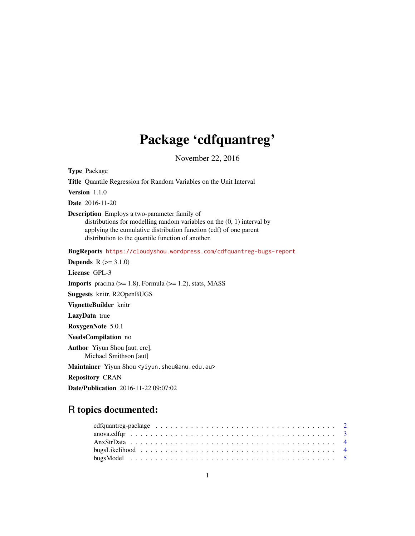# Package 'cdfquantreg'

November 22, 2016

<span id="page-0-0"></span>Type Package

Title Quantile Regression for Random Variables on the Unit Interval

Version 1.1.0

Date 2016-11-20

Description Employs a two-parameter family of

distributions for modelling random variables on the (0, 1) interval by applying the cumulative distribution function (cdf) of one parent distribution to the quantile function of another.

BugReports <https://cloudyshou.wordpress.com/cdfquantreg-bugs-report>

**Depends**  $R (= 3.1.0)$ License GPL-3 **Imports** pracma  $(>= 1.8)$ , Formula  $(>= 1.2)$ , stats, MASS Suggests knitr, R2OpenBUGS VignetteBuilder knitr LazyData true RoxygenNote 5.0.1 NeedsCompilation no Author Yiyun Shou [aut, cre], Michael Smithson [aut]

Maintainer Yiyun Shou <yiyun.shou@anu.edu.au>

Repository CRAN

Date/Publication 2016-11-22 09:07:02

# R topics documented: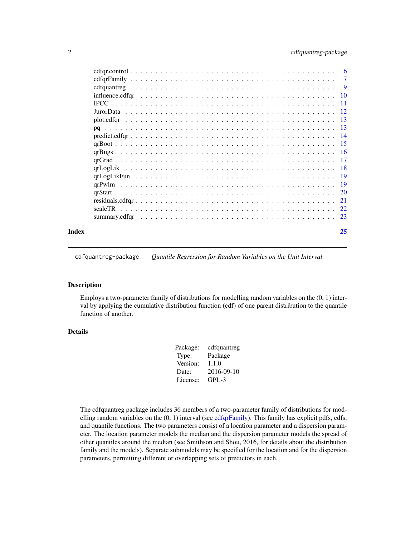<span id="page-1-0"></span>

|       | $cdfqr, control \dots \dots \dots \dots \dots \dots \dots \dots \dots \dots \dots \dots \dots \dots \dots \dots \dots$ |  |  |  |  |  |  |  |  |  |  |  |  |  |  |  |    |
|-------|------------------------------------------------------------------------------------------------------------------------|--|--|--|--|--|--|--|--|--|--|--|--|--|--|--|----|
|       |                                                                                                                        |  |  |  |  |  |  |  |  |  |  |  |  |  |  |  |    |
|       |                                                                                                                        |  |  |  |  |  |  |  |  |  |  |  |  |  |  |  |    |
|       |                                                                                                                        |  |  |  |  |  |  |  |  |  |  |  |  |  |  |  |    |
|       |                                                                                                                        |  |  |  |  |  |  |  |  |  |  |  |  |  |  |  |    |
|       |                                                                                                                        |  |  |  |  |  |  |  |  |  |  |  |  |  |  |  |    |
|       |                                                                                                                        |  |  |  |  |  |  |  |  |  |  |  |  |  |  |  |    |
|       |                                                                                                                        |  |  |  |  |  |  |  |  |  |  |  |  |  |  |  |    |
|       |                                                                                                                        |  |  |  |  |  |  |  |  |  |  |  |  |  |  |  |    |
|       |                                                                                                                        |  |  |  |  |  |  |  |  |  |  |  |  |  |  |  |    |
|       |                                                                                                                        |  |  |  |  |  |  |  |  |  |  |  |  |  |  |  |    |
|       |                                                                                                                        |  |  |  |  |  |  |  |  |  |  |  |  |  |  |  |    |
|       |                                                                                                                        |  |  |  |  |  |  |  |  |  |  |  |  |  |  |  |    |
|       |                                                                                                                        |  |  |  |  |  |  |  |  |  |  |  |  |  |  |  |    |
|       |                                                                                                                        |  |  |  |  |  |  |  |  |  |  |  |  |  |  |  |    |
|       |                                                                                                                        |  |  |  |  |  |  |  |  |  |  |  |  |  |  |  |    |
|       |                                                                                                                        |  |  |  |  |  |  |  |  |  |  |  |  |  |  |  |    |
|       | scaleTR                                                                                                                |  |  |  |  |  |  |  |  |  |  |  |  |  |  |  |    |
|       |                                                                                                                        |  |  |  |  |  |  |  |  |  |  |  |  |  |  |  |    |
| Index |                                                                                                                        |  |  |  |  |  |  |  |  |  |  |  |  |  |  |  | 25 |

cdfquantreg-package *Quantile Regression for Random Variables on the Unit Interval*

#### Description

Employs a two-parameter family of distributions for modelling random variables on the (0, 1) interval by applying the cumulative distribution function (cdf) of one parent distribution to the quantile function of another.

#### Details

| cdfquantreg |
|-------------|
| Package     |
| 1.1.0       |
| 2016-09-10  |
| $GPI - 3$   |
|             |

The cdfquantreg package includes 36 members of a two-parameter family of distributions for modelling random variables on the  $(0, 1)$  interval (see [cdfqrFamily\)](#page-6-1). This family has explicit pdfs, cdfs, and quantile functions. The two parameters consist of a location parameter and a dispersion parameter. The location parameter models the median and the dispersion parameter models the spread of other quantiles around the median (see Smithson and Shou, 2016, for details about the distribution family and the models). Separate submodels may be specified for the location and for the dispersion parameters, permitting different or overlapping sets of predictors in each.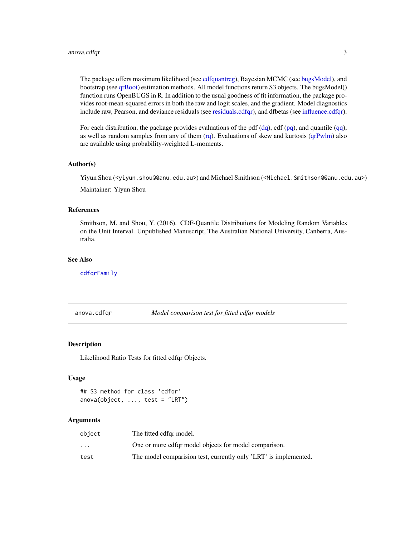#### <span id="page-2-0"></span>anova.cdfqr 3

The package offers maximum likelihood (see [cdfquantreg\)](#page-8-1), Bayesian MCMC (see [bugsModel\)](#page-4-1), and bootstrap (see [qrBoot\)](#page-14-1) estimation methods. All model functions return S3 objects. The bugsModel() function runs OpenBUGS in R. In addition to the usual goodness of fit information, the package provides root-mean-squared errors in both the raw and logit scales, and the gradient. Model diagnostics include raw, Pearson, and deviance residuals (see [residuals.cdfqr\)](#page-20-1), and dfbetas (see [influence.cdfqr\)](#page-9-1).

For each distribution, the package provides evaluations of the pdf  $(dq)$ , cdf  $(pq)$ , and quantile  $(qq)$ , as well as random samples from any of them [\(rq\)](#page-12-1). Evaluations of skew and kurtosis [\(qrPwlm\)](#page-18-1) also are available using probability-weighted L-moments.

#### Author(s)

Yiyun Shou (<yiyun.shou@@anu.edu.au>) and Michael Smithson (<Michael.Smithson@@anu.edu.au>) Maintainer: Yiyun Shou

#### References

Smithson, M. and Shou, Y. (2016). CDF-Quantile Distributions for Modeling Random Variables on the Unit Interval. Unpublished Manuscript, The Australian National University, Canberra, Australia.

#### See Also

[cdfqrFamily](#page-6-1)

anova.cdfqr *Model comparison test for fitted cdfqr models*

#### Description

Likelihood Ratio Tests for fitted cdfqr Objects.

#### Usage

```
## S3 method for class 'cdfqr'
anova(object, ..., test = "LRT")
```

| object                  | The fitted cdfgr model.                                          |
|-------------------------|------------------------------------------------------------------|
| $\cdot$ $\cdot$ $\cdot$ | One or more cdfqr model objects for model comparison.            |
| test                    | The model comparision test, currently only 'LRT' is implemented. |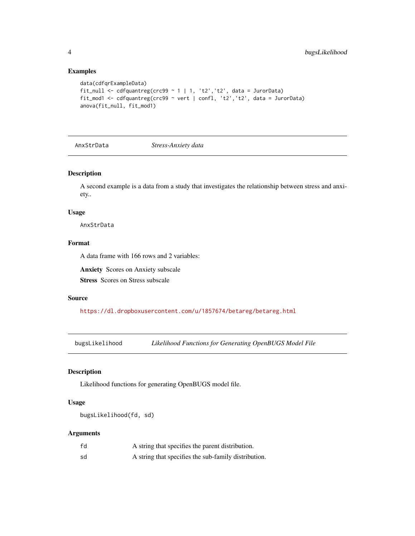# Examples

```
data(cdfqrExampleData)
fit_null <- cdfquantreg(crc99 ~ 1 \mid 1, 't2', 't2', data = JurorData)
fit_mod1 <- cdfquantreg(crc99 ~ vert | confl, 't2','t2', data = JurorData)
anova(fit_null, fit_mod1)
```
AnxStrData *Stress-Anxiety data*

#### Description

A second example is a data from a study that investigates the relationship between stress and anxiety..

#### Usage

AnxStrData

# Format

A data frame with 166 rows and 2 variables:

Anxiety Scores on Anxiety subscale

Stress Scores on Stress subscale

#### Source

<https://dl.dropboxusercontent.com/u/1857674/betareg/betareg.html>

bugsLikelihood *Likelihood Functions for Generating OpenBUGS Model File*

# Description

Likelihood functions for generating OpenBUGS model file.

# Usage

```
bugsLikelihood(fd, sd)
```

| fd | A string that specifies the parent distribution.     |
|----|------------------------------------------------------|
| sd | A string that specifies the sub-family distribution. |

<span id="page-3-0"></span>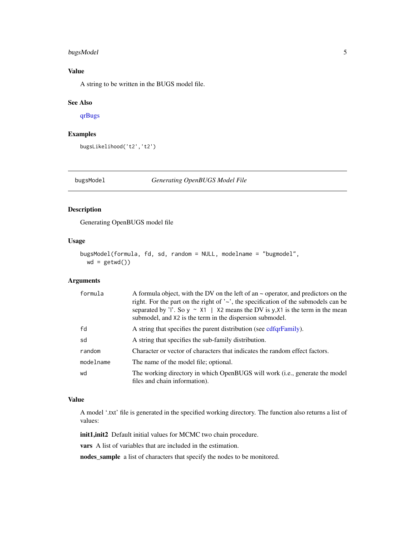# <span id="page-4-0"></span>bugsModel 5

# Value

A string to be written in the BUGS model file.

# See Also

[qrBugs](#page-15-1)

# Examples

bugsLikelihood('t2','t2')

<span id="page-4-1"></span>bugsModel *Generating OpenBUGS Model File*

#### Description

Generating OpenBUGS model file

#### Usage

```
bugsModel(formula, fd, sd, random = NULL, modelname = "bugmodel",
 wd = getwd()
```
#### Arguments

| formula   | A formula object, with the DV on the left of an $\sim$ operator, and predictors on the<br>right. For the part on the right of $\sim$ , the specification of the submodels can be<br>separated by 'l'. So $y \sim X1$   X2 means the DV is y, X1 is the term in the mean<br>submodel, and X2 is the term in the dispersion submodel. |
|-----------|-------------------------------------------------------------------------------------------------------------------------------------------------------------------------------------------------------------------------------------------------------------------------------------------------------------------------------------|
| fd        | A string that specifies the parent distribution (see cdfqrFamily).                                                                                                                                                                                                                                                                  |
| sd        | A string that specifies the sub-family distribution.                                                                                                                                                                                                                                                                                |
| random    | Character or vector of characters that indicates the random effect factors.                                                                                                                                                                                                                                                         |
| modelname | The name of the model file; optional.                                                                                                                                                                                                                                                                                               |
| wd        | The working directory in which OpenBUGS will work (i.e., generate the model<br>files and chain information).                                                                                                                                                                                                                        |

#### Value

A model '.txt' file is generated in the specified working directory. The function also returns a list of values:

init1,init2 Default initial values for MCMC two chain procedure.

vars A list of variables that are included in the estimation.

nodes\_sample a list of characters that specify the nodes to be monitored.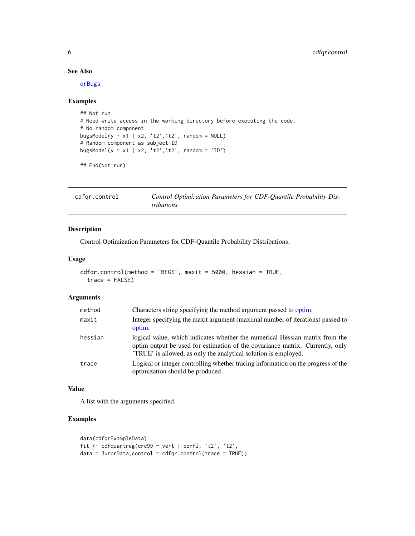#### See Also

[qrBugs](#page-15-1)

# Examples

```
## Not run:
# Need write access in the working directory before executing the code.
# No random component
bugsModel(y \sim x1 | x2, 't2', 't2', random = NULL)
# Random component as subject ID
bugsModel(y \sim x1 | x2, 't2', 't2', random = 'ID')
```

```
## End(Not run)
```
<span id="page-5-1"></span>

| cdfgr.control | Control Optimization Parameters for CDF-Quantile Probability Dis- |
|---------------|-------------------------------------------------------------------|
|               | <i>tributions</i>                                                 |

# Description

Control Optimization Parameters for CDF-Quantile Probability Distributions.

#### Usage

```
cdfqr.control(method = "BFGS", maxit = 5000, hessian = TRUE,
  trace = FALSE)
```
# Arguments

| method  | Characters string specifying the method argument passed to optim.                                                                                                                                                              |
|---------|--------------------------------------------------------------------------------------------------------------------------------------------------------------------------------------------------------------------------------|
| maxit   | Integer specifying the maxit argument (maximal number of iterations) passed to<br>optim.                                                                                                                                       |
| hessian | logical value, which indicates whether the numerical Hessian matrix from the<br>optim output be used for estimation of the covariance matrix. Currently, only<br>TRUE is allowed, as only the analytical solution is employed. |
| trace   | Logical or integer controlling whether tracing information on the progress of the<br>optimization should be produced                                                                                                           |

#### Value

A list with the arguments specified.

```
data(cdfqrExampleData)
fit <- cdfquantreg(crc99 ~ vert | confl, 't2', 't2',
data = JurorData,control = cdfqr.control(trace = TRUE))
```
<span id="page-5-0"></span>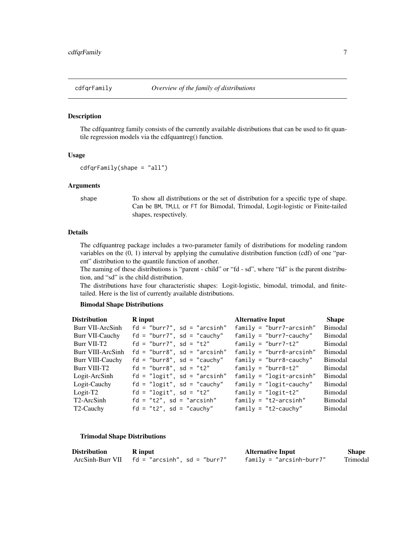<span id="page-6-1"></span><span id="page-6-0"></span>

The cdfquantreg family consists of the currently available distributions that can be used to fit quantile regression models via the cdfquantreg() function.

#### Usage

```
cdfqrFamily(shape = "all")
```
# Arguments

shape To show all distributions or the set of distribution for a specific type of shape. Can be BM, TM,LL or FT for Bimodal, Trimodal, Logit-logistic or Finite-tailed shapes, respectively.

#### Details

The cdfquantreg package includes a two-parameter family of distributions for modeling random variables on the (0, 1) interval by applying the cumulative distribution function (cdf) of one "parent" distribution to the quantile function of another.

The naming of these distributions is "parent - child" or "fd - sd", where "fd" is the parent distribution, and "sd" is the child distribution.

The distributions have four characteristic shapes: Logit-logistic, bimodal, trimodal, and finitetailed. Here is the list of currently available distributions.

#### Bimodal Shape Distributions

| <b>Distribution</b>    | <b>R</b> input                 | <b>Alternative Input</b>    | <b>Shape</b>   |
|------------------------|--------------------------------|-----------------------------|----------------|
| Burr VII-ArcSinh       | $fd = "burn7", sd = "arcsinh"$ | $family = "burn7-arcsinh"$  | <b>Bimodal</b> |
| Burr VII-Cauchy        | $fd = "burn7", sd = "cauchy"$  | $family = "burn7 - cauchy"$ | <b>Bimodal</b> |
| Burr VII-T2            | $fd = "burn7", sd = "t2"$      | family = "burr7-t2"         | <b>Bimodal</b> |
| Burr VIII-ArcSinh      | $fd = "burn8", sd = "arcsinh"$ | $family = "burn8-arcsinh"$  | Bimodal        |
| Burr VIII-Cauchy       | $fd = "burn8", sd = "cauchy"$  | $family = "burn8 - cauchy"$ | Bimodal        |
| Burr VIII-T2           | $fd = "burn8", sd = "t2"$      | $family = "burn8-t2"$       | <b>Bimodal</b> |
| Logit-ArcSinh          | $fd = "logit", sd = "arcsinh"$ | $family = "logit-arcsinh"$  | <b>Bimodal</b> |
| Logit-Cauchy           | $fd = "logit", sd = "cauchy"$  | $family = "logit-cauchy"$   | <b>Bimodal</b> |
| $Logit-T2$             | fd = "logit", sd = "t2"        | family = $"logit-t2"$       | <b>Bimodal</b> |
| T2-ArcSinh             | $fd = "t2", sd = "arcsinh"$    | $family = "t2-arcsinh"$     | <b>Bimodal</b> |
| T <sub>2</sub> -Cauchy | $fd = "t2", sd = "cauchy"$     | $family = "t2-cauchy"$      | <b>Bimodal</b> |

## Trimodal Shape Distributions

| <b>Distribution</b> | <b>R</b> input                                   | <b>Alternative Input</b>   | Shape    |
|---------------------|--------------------------------------------------|----------------------------|----------|
|                     | ArcSinh-Burr VII $f$ d = "arcsinh", sd = "burr7" | $family = "arcsinh-burr7"$ | Trimodal |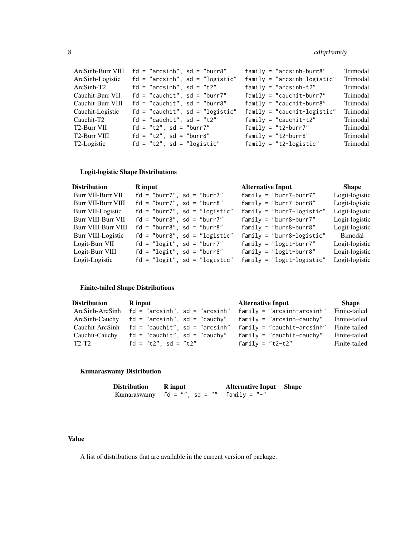| ArcSinh-Burr VIII | $fd = "arcsinh", sd = "burn8"$    | $family = "arcsinh-burr8"$    | Trimodal |
|-------------------|-----------------------------------|-------------------------------|----------|
| ArcSinh-Logistic  | $fd = "arcsinh", sd = "logistic"$ | $family = "arcsinh-logistic"$ | Trimodal |
| ArcSinh-T2        | $fd = "arcsinh", sd = "t2"$       | $family = "arcsinh-t2"$       | Trimodal |
| Cauchit-Burr VII  | $fd = "cauchit", sd = "burn7"$    | $family = "cauchit-burr7"$    | Trimodal |
| Cauchit-Burr VIII | $fd = "cauchit", sd = "burn8"$    | $family = "cauchit-burr8"$    | Trimodal |
| Cauchit-Logistic  | $fd = "cauchit", sd = "logistic"$ | $family = "cauchit-logistic"$ | Trimodal |
| Cauchit-T2        | $fd = "cauchit", sd = "t2"$       | $family = "cauchit-t2"$       | Trimodal |
| T2-Burr VII       | $fd = "t2", sd = "burn7"$         | $family = "t2-burr7"$         | Trimodal |
| T2-Burr VIII      | $fd = "t2", sd = "burn8"$         | $family = "t2-burr8"$         | Trimodal |
| T2-Logistic       | $fd = "t2", sd = "logistic"$      | $family = "t2-logistic"$      | Trimodal |
|                   |                                   |                               |          |

# Logit-logistic Shape Distributions

| R input                         | <b>Alternative Input</b>      | Shape          |
|---------------------------------|-------------------------------|----------------|
| $fd = "burn7", sd = "burn7"$    | $family = "burn7 - burr7"$    | Logit-logistic |
| $fd = "burn7", sd = "burn8"$    | $family = "burn7 - burr8"$    | Logit-logistic |
| $fd = "burn7", sd = "logistic"$ | $family = "burn7 - logistic"$ | Logit-logistic |
| $fd = "burn8", sd = "burn7"$    | $family = "burn8 - burr7"$    | Logit-logistic |
| $fd = "burn8", sd = "burn8"$    | $family = "burn8 - burr8"$    | Logit-logistic |
| $fd = "burn8", sd = "logistic"$ | $family = "burn8 - logistic"$ | Bimodal        |
| $fd = "logit", sd = "burn7"$    | $family = "logit-burr7"$      | Logit-logistic |
| $fd = "logit", sd = "burn8"$    | $family = "logit-burr8"$      | Logit-logistic |
| $fd = "logit", sd = "logistic"$ | $family = "logit-logistic"$   | Logit-logistic |
|                                 |                               |                |

# Finite-tailed Shape Distributions

| Distribution                   | R input                                          | <b>Alternative Input</b>     | Shape         |
|--------------------------------|--------------------------------------------------|------------------------------|---------------|
|                                | ArcSinh-ArcSinh $fd = "arcsinh", sd = "arcsinh"$ | $family = "arcsinh-arcsinh"$ | Finite-tailed |
|                                | ArcSinh-Cauchy $fd = "arcsinh", sd = "cauchy"$   | $family = "arcsinh-cauchy"$  | Finite-tailed |
|                                | Cauchit-ArcSinh $fd = "cauchit", sd = "arcsinh"$ | $family = "cauchit-arcsinh"$ | Finite-tailed |
|                                | Cauchit-Cauchy $fd = "cauchit", sd = "cauchy"$   | $family = "cauchit-cauchy"$  | Finite-tailed |
| T <sub>2</sub> -T <sub>2</sub> | $fd = "t2", sd = "t2"$                           | family = $"t2-t2"$           | Finite-tailed |

# Kumaraswamy Distribution

| Distribution | <b>R</b> input                                | <b>Alternative Input Shape</b> |  |
|--------------|-----------------------------------------------|--------------------------------|--|
|              | Kumaraswamy $fd = "", sd = ""$ $family = "-"$ |                                |  |

# Value

A list of distributions that are available in the current version of package.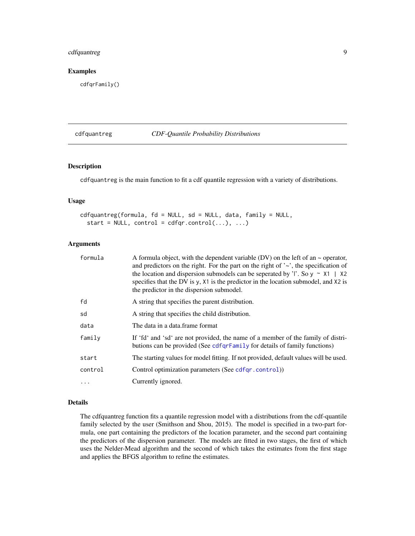# <span id="page-8-0"></span>cdfquantreg 9

# Examples

cdfqrFamily()

# <span id="page-8-1"></span>cdfquantreg *CDF-Quantile Probability Distributions*

#### Description

cdfquantreg is the main function to fit a cdf quantile regression with a variety of distributions.

# Usage

```
cdfquantreg(formula, fd = NULL, sd = NULL, data, family = NULL,
  start = NULL, control = cdfqr.contrib(...), ...)
```
#### Arguments

| formula  | A formula object, with the dependent variable (DV) on the left of an $\sim$ operator,<br>and predictors on the right. For the part on the right of $\sim$ , the specification of<br>the location and dispersion submodels can be seperated by 'l'. So $y \sim x1$   $x2$<br>specifies that the DV is y, X1 is the predictor in the location submodel, and X2 is<br>the predictor in the dispersion submodel. |
|----------|--------------------------------------------------------------------------------------------------------------------------------------------------------------------------------------------------------------------------------------------------------------------------------------------------------------------------------------------------------------------------------------------------------------|
| fd       | A string that specifies the parent distribution.                                                                                                                                                                                                                                                                                                                                                             |
| sd       | A string that specifies the child distribution.                                                                                                                                                                                                                                                                                                                                                              |
| data     | The data in a data frame format                                                                                                                                                                                                                                                                                                                                                                              |
| family   | If 'fd' and 'sd' are not provided, the name of a member of the family of distri-<br>butions can be provided (See cdfqrFamily for details of family functions)                                                                                                                                                                                                                                                |
| start    | The starting values for model fitting. If not provided, default values will be used.                                                                                                                                                                                                                                                                                                                         |
| control  | Control optimization parameters (See cdfqr.control))                                                                                                                                                                                                                                                                                                                                                         |
| $\ddots$ | Currently ignored.                                                                                                                                                                                                                                                                                                                                                                                           |

#### Details

The cdfquantreg function fits a quantile regression model with a distributions from the cdf-quantile family selected by the user (Smithson and Shou, 2015). The model is specified in a two-part formula, one part containing the predictors of the location parameter, and the second part containing the predictors of the dispersion parameter. The models are fitted in two stages, the first of which uses the Nelder-Mead algorithm and the second of which takes the estimates from the first stage and applies the BFGS algorithm to refine the estimates.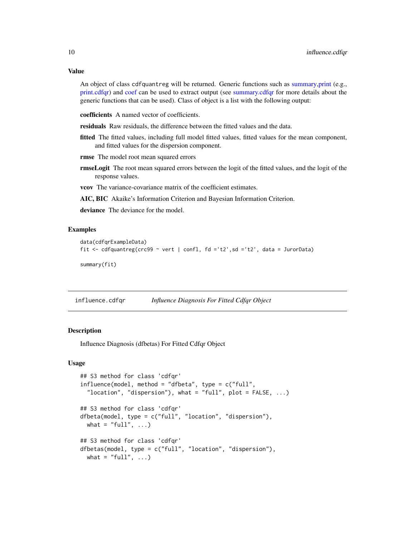#### <span id="page-9-0"></span>Value

An object of class cdfquantreg will be returned. Generic functions such as [summary,print](#page-0-0) (e.g., [print.cdfqr\)](#page-22-1) and [coef](#page-0-0) can be used to extract output (see [summary.cdfqr](#page-22-2) for more details about the generic functions that can be used). Class of object is a list with the following output:

coefficients A named vector of coefficients.

residuals Raw residuals, the difference between the fitted values and the data.

fitted The fitted values, including full model fitted values, fitted values for the mean component, and fitted values for the dispersion component.

rmse The model root mean squared errors

rmseLogit The root mean squared errors between the logit of the fitted values, and the logit of the response values.

vcov The variance-covariance matrix of the coefficient estimates.

AIC, BIC Akaike's Information Criterion and Bayesian Information Criterion.

deviance The deviance for the model.

#### Examples

```
data(cdfqrExampleData)
fit <- cdfquantreg(crc99 ~ vert | confl, fd ='t2',sd ='t2', data = JurorData)
summary(fit)
```
<span id="page-9-1"></span>influence.cdfqr *Influence Diagnosis For Fitted Cdfqr Object*

#### Description

Influence Diagnosis (dfbetas) For Fitted Cdfqr Object

#### Usage

```
## S3 method for class 'cdfqr'
influence(model, method = "dfbeta", type = c("full","location", "dispersion"), what = "full", plot = FALSE, \dots)
## S3 method for class 'cdfqr'
dfbeta(model, type = c("full", "location", "dispersion"),
  what = "full", \ldots)## S3 method for class 'cdfqr'
dfbetas(model, type = c("full", "location", "dispersion"),
 what = "full", \ldots)
```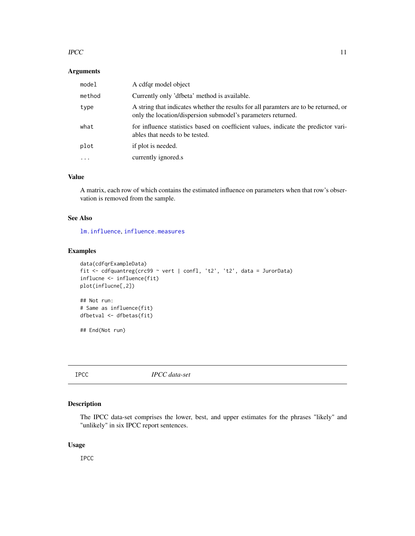#### <span id="page-10-0"></span> $\text{IPCC}$  and  $\text{I1}$

#### Arguments

| model     | A cdfgr model object                                                                                                                                 |
|-----------|------------------------------------------------------------------------------------------------------------------------------------------------------|
| method    | Currently only 'dfbeta' method is available.                                                                                                         |
| type      | A string that indicates whether the results for all paramters are to be returned, or<br>only the location/dispersion submodel's parameters returned. |
| what      | for influence statistics based on coefficient values, indicate the predictor vari-<br>ables that needs to be tested.                                 |
| plot      | if plot is needed.                                                                                                                                   |
| $\ddotsc$ | currently ignored.s                                                                                                                                  |

# Value

A matrix, each row of which contains the estimated influence on parameters when that row's observation is removed from the sample.

#### See Also

[lm.influence](#page-0-0), [influence.measures](#page-0-0)

#### Examples

```
data(cdfqrExampleData)
fit <- cdfquantreg(crc99 ~ vert | confl, 't2', 't2', data = JurorData)
influcne <- influence(fit)
plot(influcne[,2])
## Not run:
# Same as influence(fit)
dfbetval <- dfbetas(fit)
## End(Not run)
```
IPCC *IPCC data-set*

# Description

The IPCC data-set comprises the lower, best, and upper estimates for the phrases "likely" and "unlikely" in six IPCC report sentences.

# Usage

IPCC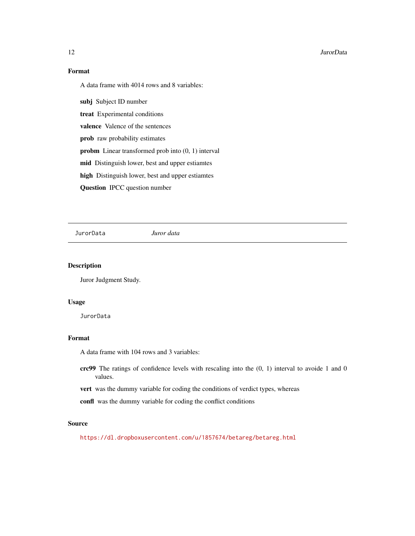#### <span id="page-11-0"></span>12 JurorData

# Format

A data frame with 4014 rows and 8 variables:

subj Subject ID number

treat Experimental conditions

valence Valence of the sentences

prob raw probability estimates

probm Linear transformed prob into (0, 1) interval

mid Distinguish lower, best and upper estiamtes

high Distinguish lower, best and upper estiamtes

Question IPCC question number

JurorData *Juror data*

#### Description

Juror Judgment Study.

# Usage

**JurorData** 

# Format

A data frame with 104 rows and 3 variables:

- crc99 The ratings of confidence levels with rescaling into the (0, 1) interval to avoide 1 and 0 values.
- vert was the dummy variable for coding the conditions of verdict types, whereas

confl was the dummy variable for coding the conflict conditions

# Source

<https://dl.dropboxusercontent.com/u/1857674/betareg/betareg.html>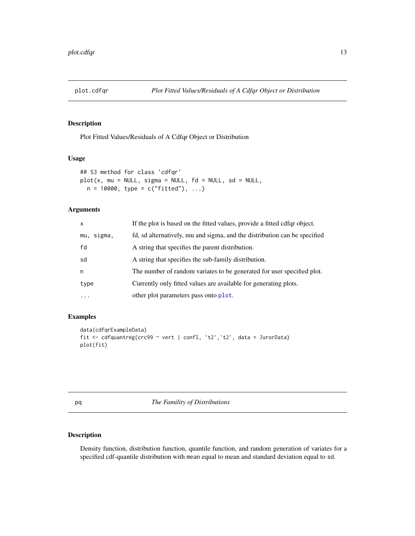<span id="page-12-0"></span>

Plot Fitted Values/Residuals of A Cdfqr Object or Distribution

#### Usage

```
## S3 method for class 'cdfqr'
plot(x, mu = NULL, sigma = NULL, fd = NULL, sd = NULL,n = 10000, type = c("fitted"), ...)
```
#### Arguments

| $\mathsf{x}$ | If the plot is based on the fitted values, provide a fitted cdfqr object. |
|--------------|---------------------------------------------------------------------------|
| mu, sigma,   | fd, sd alternatively, mu and sigma, and the distribution can be specified |
| fd           | A string that specifies the parent distribution.                          |
| sd           | A string that specifies the sub-family distribution.                      |
| n            | The number of random variates to be generated for user specified plot.    |
| type         | Currently only fitted values are available for generating plots.          |
| $\ddotsc$    | other plot parameters pass onto plot.                                     |

# Examples

```
data(cdfqrExampleData)
fit <- cdfquantreg(crc99 ~ vert | confl, 't2','t2', data = JurorData)
plot(fit)
```
<span id="page-12-2"></span>pq *The Famility of Distributions*

# <span id="page-12-1"></span>Description

Density function, distribution function, quantile function, and random generation of variates for a specified cdf-quantile distribution with mean equal to mean and standard deviation equal to sd.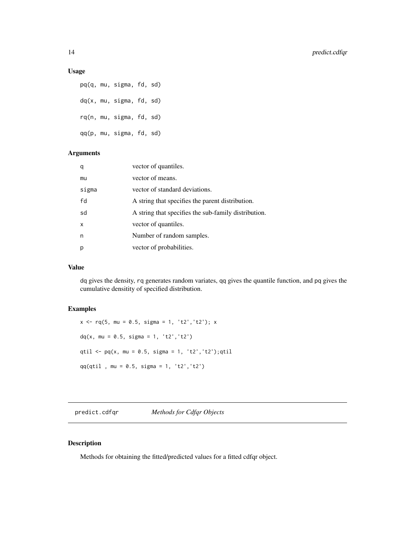#### <span id="page-13-0"></span>Usage

pq(q, mu, sigma, fd, sd) dq(x, mu, sigma, fd, sd) rq(n, mu, sigma, fd, sd) qq(p, mu, sigma, fd, sd)

# Arguments

| q     | vector of quantiles.                                 |
|-------|------------------------------------------------------|
| mu    | vector of means.                                     |
| sigma | vector of standard deviations.                       |
| fd    | A string that specifies the parent distribution.     |
| sd    | A string that specifies the sub-family distribution. |
| x     | vector of quantiles.                                 |
| n     | Number of random samples.                            |
| р     | vector of probabilities.                             |
|       |                                                      |

#### Value

dq gives the density, rq generates random variates, qq gives the quantile function, and pq gives the cumulative densitity of specified distribution.

#### Examples

 $x \leq -rq(5, mu = 0.5, sigma = 1, 't2', 't2'); x$  $dq(x, mu = 0.5, sigma = 1, 't2', 't2')$ qtil <-  $pq(x, mu = 0.5, sigma = 1, 't2', 't2');qtil$ qq(qtil , mu = 0.5, sigma = 1, 't2','t2')

predict.cdfqr *Methods for Cdfqr Objects*

# Description

Methods for obtaining the fitted/predicted values for a fitted cdfqr object.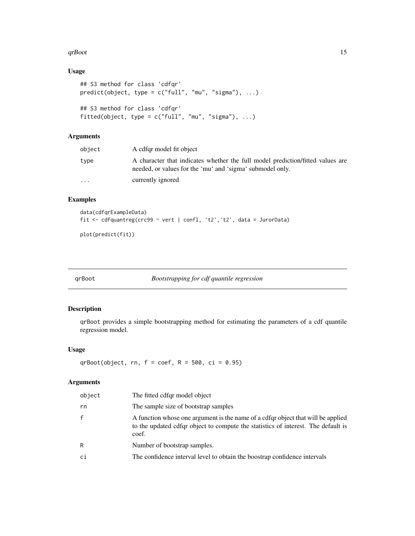#### <span id="page-14-0"></span>qrBoot  $\qquad \qquad$  15

# Usage

```
## S3 method for class 'cdfqr'
predict(object, type = c("full", "mu", "sigma"), ...)
## S3 method for class 'cdfqr'
fitted(object, type = c("full", "mu", "sigma"), ...)
```
# Arguments

| object                  | A cdfgr model fit object                                                                                                                    |
|-------------------------|---------------------------------------------------------------------------------------------------------------------------------------------|
| type                    | A character that indicates whether the full model prediction/fitted values are<br>needed, or values for the 'mu' and 'sigma' submodel only. |
| $\cdot$ $\cdot$ $\cdot$ | currently ignored                                                                                                                           |

# Examples

```
data(cdfqrExampleData)
fit <- cdfquantreg(crc99 ~ vert | confl, 't2','t2', data = JurorData)
```
plot(predict(fit))

<span id="page-14-1"></span>qrBoot *Bootstrapping for cdf quantile regression*

#### Description

qrBoot provides a simple bootstrapping method for estimating the parameters of a cdf quantile regression model.

#### Usage

qrBoot(object, rn,  $f = \text{coef}$ , R = 500, ci = 0.95)

| object       | The fitted cdfgr model object                                                                                                                                                  |
|--------------|--------------------------------------------------------------------------------------------------------------------------------------------------------------------------------|
| rn           | The sample size of bootstrap samples                                                                                                                                           |
| $\mathsf{f}$ | A function whose one argument is the name of a cdfgr object that will be applied<br>to the updated cdfqr object to compute the statistics of interest. The default is<br>coef. |
| R            | Number of bootstrap samples.                                                                                                                                                   |
| ci           | The confidence interval level to obtain the boostrap confidence intervals                                                                                                      |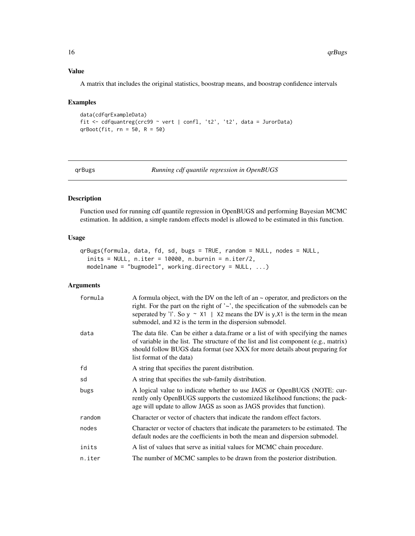# <span id="page-15-0"></span>Value

A matrix that includes the original statistics, boostrap means, and boostrap confidence intervals

# Examples

```
data(cdfqrExampleData)
fit <- cdfquantreg(crc99 ~ vert | confl, 't2', 't2', data = JurorData)
qrBoot(fit, rn = 50, R = 50)
```
<span id="page-15-1"></span>

qrBugs *Running cdf quantile regression in OpenBUGS*

#### Description

Function used for running cdf quantile regression in OpenBUGS and performing Bayesian MCMC estimation. In addition, a simple random effects model is allowed to be estimated in this function.

# Usage

```
qrBugs(formula, data, fd, sd, bugs = TRUE, random = NULL, nodes = NULL,
  inits = NULL, n.iter = 10000, n.burnin = n.iter/2,
 modelname = "bugmodel", working.directory = NULL, ...)
```

| formula | A formula object, with the DV on the left of an $\sim$ operator, and predictors on the<br>right. For the part on the right of $\sim$ , the specification of the submodels can be<br>seperated by 'l'. So $y \sim x1$   $x2$ means the DV is y, $x1$ is the term in the mean<br>submodel, and X2 is the term in the dispersion submodel. |
|---------|-----------------------------------------------------------------------------------------------------------------------------------------------------------------------------------------------------------------------------------------------------------------------------------------------------------------------------------------|
| data    | The data file. Can be either a data frame or a list of with specifying the names<br>of variable in the list. The structure of the list and list component (e.g., matrix)<br>should follow BUGS data format (see XXX for more details about preparing for<br>list format of the data)                                                    |
| fd      | A string that specifies the parent distribution.                                                                                                                                                                                                                                                                                        |
| sd      | A string that specifies the sub-family distribution.                                                                                                                                                                                                                                                                                    |
| bugs    | A logical value to indicate whether to use JAGS or OpenBUGS (NOTE: cur-<br>rently only OpenBUGS supports the customized likelihood functions; the pack-<br>age will update to allow JAGS as soon as JAGS provides that function).                                                                                                       |
| random  | Character or vector of chacters that indicate the random effect factors.                                                                                                                                                                                                                                                                |
| nodes   | Character or vector of chacters that indicate the parameters to be estimated. The<br>default nodes are the coefficients in both the mean and dispersion submodel.                                                                                                                                                                       |
| inits   | A list of values that serve as initial values for MCMC chain procedure.                                                                                                                                                                                                                                                                 |
| n.iter  | The number of MCMC samples to be drawn from the posterior distribution.                                                                                                                                                                                                                                                                 |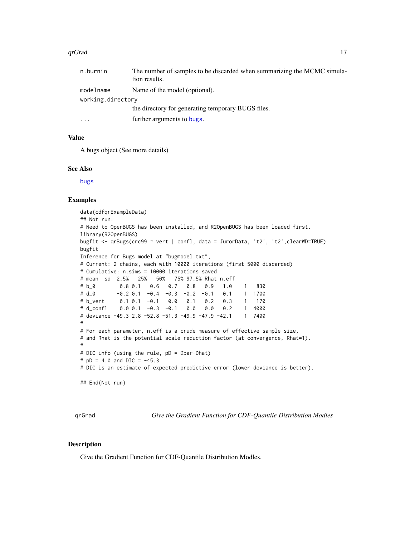#### <span id="page-16-0"></span>qrGrad 17

| n.burnin          | The number of samples to be discarded when summarizing the MCMC simula-<br>tion results. |  |
|-------------------|------------------------------------------------------------------------------------------|--|
| modelname         | Name of the model (optional).                                                            |  |
| working.directory |                                                                                          |  |
|                   | the directory for generating temporary BUGS files.                                       |  |
| .                 | further arguments to bugs.                                                               |  |

#### Value

A bugs object (See more details)

#### See Also

[bugs](#page-0-0)

#### Examples

```
data(cdfqrExampleData)
## Not run:
# Need to OpenBUGS has been installed, and R2OpenBUGS has been loaded first.
library(R2OpenBUGS)
bugfit <- qrBugs(crc99 ~ vert | confl, data = JurorData, 't2', 't2',clearWD=TRUE)
bugfit
Inference for Bugs model at "bugmodel.txt",
# Current: 2 chains, each with 10000 iterations (first 5000 discarded)
# Cumulative: n.sims = 10000 iterations saved
# mean sd 2.5% 25% 50% 75% 97.5% Rhat n.eff
# b_0 0.8 0.1 0.6 0.7 0.8 0.9 1.0 1 830
# d_0 -0.2 0.1 -0.4 -0.3 -0.2 -0.1 0.1 1 1700
# b_vert 0.1 0.1 -0.1 0.0 0.1 0.2 0.3 1 170
# d_confl 0.0 0.1 -0.3 -0.1 0.0 0.0 0.2 1 4000
# deviance -49.3 2.8 -52.8 -51.3 -49.9 -47.9 -42.1 1 7400
#
# For each parameter, n.eff is a crude measure of effective sample size,
# and Rhat is the potential scale reduction factor (at convergence, Rhat=1).
#
# DIC info (using the rule, pD = Dbar-Dhat)
# pD = 4.0 and DIC = -45.3# DIC is an estimate of expected predictive error (lower deviance is better).
## End(Not run)
```
qrGrad *Give the Gradient Function for CDF-Quantile Distribution Modles*

#### Description

Give the Gradient Function for CDF-Quantile Distribution Modles.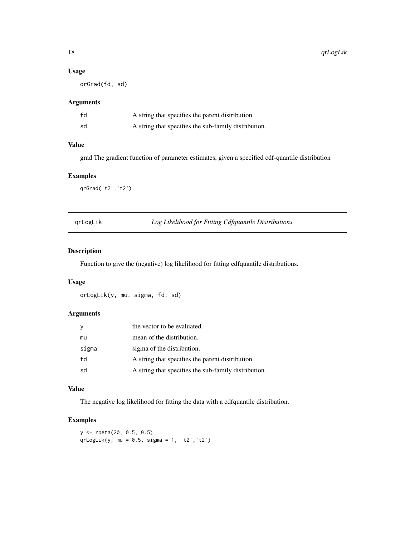#### Usage

qrGrad(fd, sd)

# Arguments

| fd | A string that specifies the parent distribution.     |
|----|------------------------------------------------------|
| sd | A string that specifies the sub-family distribution. |

# Value

grad The gradient function of parameter estimates, given a specified cdf-quantile distribution

# Examples

qrGrad('t2','t2')

qrLogLik *Log Likelihood for Fitting Cdfquantile Distributions*

#### Description

Function to give the (negative) log likelihood for fitting cdfquantile distributions.

#### Usage

qrLogLik(y, mu, sigma, fd, sd)

#### Arguments

|       | the vector to be evaluated.                          |
|-------|------------------------------------------------------|
| mu    | mean of the distribution.                            |
| sigma | sigma of the distribution.                           |
| fd    | A string that specifies the parent distribution.     |
| sd    | A string that specifies the sub-family distribution. |

# Value

The negative log likelihood for fitting the data with a cdfquantile distribution.

```
y <- rbeta(20, 0.5, 0.5)
qrLogLik(y, mu = 0.5, sigma = 1, 't2', 't2')
```
<span id="page-17-0"></span>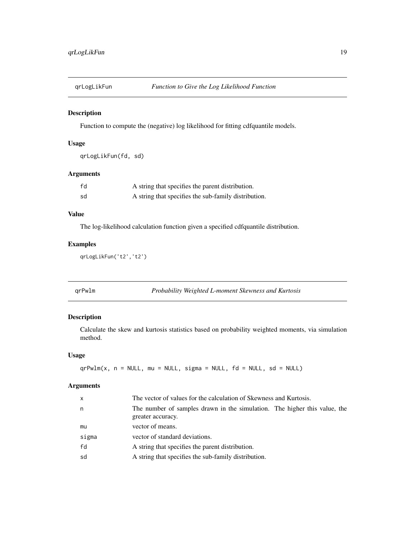<span id="page-18-0"></span>

Function to compute the (negative) log likelihood for fitting cdfquantile models.

# Usage

qrLogLikFun(fd, sd)

# Arguments

| fd | A string that specifies the parent distribution.     |
|----|------------------------------------------------------|
| sd | A string that specifies the sub-family distribution. |

# Value

The log-likelihood calculation function given a specified cdfquantile distribution.

#### Examples

qrLogLikFun('t2','t2')

<span id="page-18-1"></span>qrPwlm *Probability Weighted L-moment Skewness and Kurtosis*

# Description

Calculate the skew and kurtosis statistics based on probability weighted moments, via simulation method.

#### Usage

```
qrPwlm(x, n = NULL, mu = NULL, sigma = NULL, fd = NULL, sd = NULL)
```

| x     | The vector of values for the calculation of Skewness and Kurtosis.                             |
|-------|------------------------------------------------------------------------------------------------|
| n     | The number of samples drawn in the simulation. The higher this value, the<br>greater accuracy. |
| mu    | vector of means.                                                                               |
| sigma | vector of standard deviations.                                                                 |
| fd    | A string that specifies the parent distribution.                                               |
| sd    | A string that specifies the sub-family distribution.                                           |
|       |                                                                                                |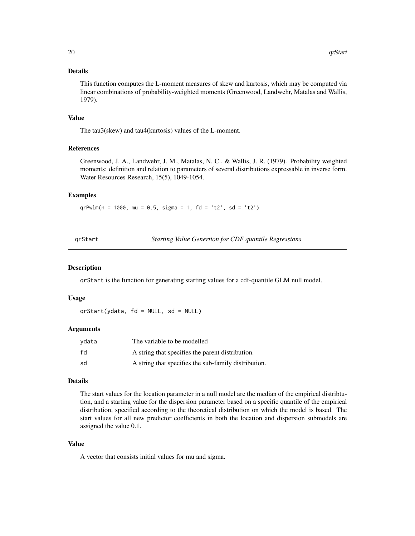#### <span id="page-19-0"></span>Details

This function computes the L-moment measures of skew and kurtosis, which may be computed via linear combinations of probability-weighted moments (Greenwood, Landwehr, Matalas and Wallis, 1979).

#### Value

The tau3(skew) and tau4(kurtosis) values of the L-moment.

# References

Greenwood, J. A., Landwehr, J. M., Matalas, N. C., & Wallis, J. R. (1979). Probability weighted moments: definition and relation to parameters of several distributions expressable in inverse form. Water Resources Research, 15(5), 1049-1054.

#### Examples

 $qrPwlm(n = 1000, mu = 0.5, sigma = 1, fd = 't2', sd = 't2')$ 

qrStart *Starting Value Genertion for CDF quantile Regressions*

#### Description

qrStart is the function for generating starting values for a cdf-quantile GLM null model.

#### Usage

qrStart(ydata, fd = NULL, sd = NULL)

#### Arguments

| vdata | The variable to be modelled                          |
|-------|------------------------------------------------------|
| fd    | A string that specifies the parent distribution.     |
| sd    | A string that specifies the sub-family distribution. |

#### Details

The start values for the location parameter in a null model are the median of the empirical distribtution, and a starting value for the dispersion parameter based on a specific quantile of the empirical distribution, specified according to the theoretical distribution on which the model is based. The start values for all new predictor coefficients in both the location and dispersion submodels are assigned the value 0.1.

#### Value

A vector that consists initial values for mu and sigma.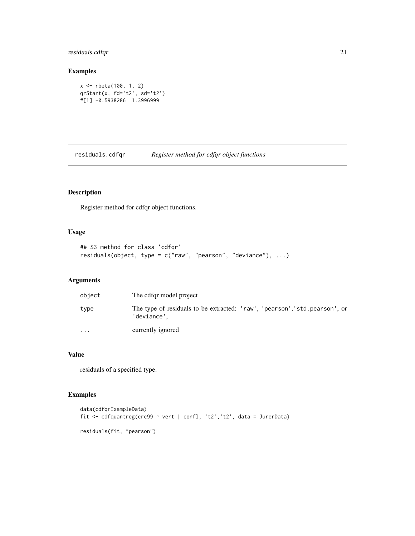# <span id="page-20-0"></span>residuals.cdfqr 21

#### Examples

```
x <- rbeta(100, 1, 2)
qrStart(x, fd='t2', sd='t2')
#[1] -0.5938286 1.3996999
```
<span id="page-20-1"></span>residuals.cdfqr *Register method for cdfqr object functions*

# Description

Register method for cdfqr object functions.

#### Usage

```
## S3 method for class 'cdfqr'
residuals(object, type = c("raw", "pearson", "deviance"), ...)
```
# Arguments

| object   | The cdfgr model project                                                                    |
|----------|--------------------------------------------------------------------------------------------|
| type     | The type of residuals to be extracted: 'raw', 'pearson', 'std. pearson', or<br>'deviance', |
| $\cdots$ | currently ignored                                                                          |

# Value

residuals of a specified type.

```
data(cdfqrExampleData)
fit <- cdfquantreg(crc99 ~ vert | confl, 't2','t2', data = JurorData)
residuals(fit, "pearson")
```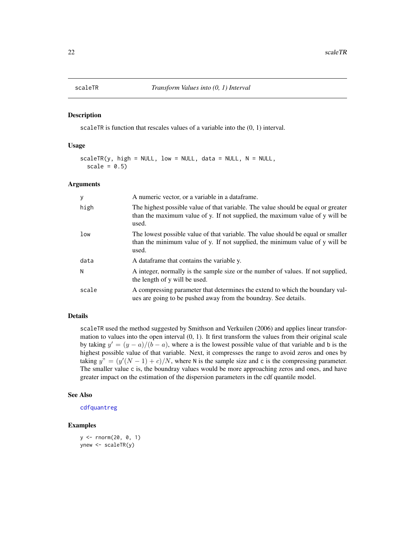<span id="page-21-0"></span>

scaleTR is function that rescales values of a variable into the (0, 1) interval.

#### Usage

```
scaleTR(y, high = NULL, low = NULL, data = NULL, N = NULL,scale = 0.5)
```
#### Arguments

| y     | A numeric vector, or a variable in a data frame.                                                                                                                           |
|-------|----------------------------------------------------------------------------------------------------------------------------------------------------------------------------|
| high  | The highest possible value of that variable. The value should be equal or greater<br>than the maximum value of y. If not supplied, the maximum value of y will be<br>used. |
| low   | The lowest possible value of that variable. The value should be equal or smaller<br>than the minimum value of y. If not supplied, the minimum value of y will be<br>used.  |
| data  | A data frame that contains the variable y.                                                                                                                                 |
| N     | A integer, normally is the sample size or the number of values. If not supplied,<br>the length of y will be used.                                                          |
| scale | A compressing parameter that determines the extend to which the boundary val-<br>ues are going to be pushed away from the boundray. See details.                           |

# Details

scaleTR used the method suggested by Smithson and Verkuilen (2006) and applies linear transformation to values into the open interval  $(0, 1)$ . It first transform the values from their original scale by taking  $y' = (y - a)/(b - a)$ , where a is the lowest possible value of that variable and b is the highest possible value of that variable. Next, it compresses the range to avoid zeros and ones by taking  $y'' = (y'(N-1) + c)/N$ , where N is the sample size and c is the compressing parameter. The smaller value c is, the boundray values would be more approaching zeros and ones, and have greater impact on the estimation of the dispersion parameters in the cdf quantile model.

#### See Also

#### [cdfquantreg](#page-8-1)

```
y <- rnorm(20, 0, 1)
ynew <- scaleTR(y)
```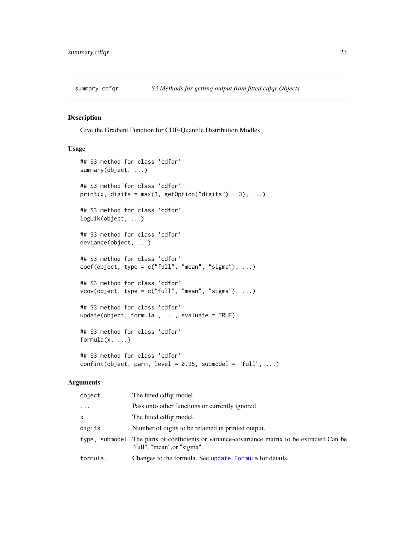<span id="page-22-2"></span><span id="page-22-1"></span><span id="page-22-0"></span>

Give the Gradient Function for CDF-Quantile Distribution Modles

# Usage

```
## S3 method for class 'cdfqr'
summary(object, ...)
## S3 method for class 'cdfqr'
print(x, digits = max(3, getOption("digits") - 3), ...)
## S3 method for class 'cdfqr'
logLik(object, ...)
## S3 method for class 'cdfqr'
deviance(object, ...)
## S3 method for class 'cdfqr'
coef(object, type = c("full", "mean", "sigma"), ...)## S3 method for class 'cdfqr'
vcov(object, type = c("full", "mean", "sigma"), ...)## S3 method for class 'cdfqr'
update(object, formula., ..., evaluate = TRUE)
## S3 method for class 'cdfqr'
formula(x, \ldots)## S3 method for class 'cdfqr'
```
# $confint(object, parm, level = 0.95, submodel = "full", ...)$

| object   | The fitted cdfqr model.                                                                                                      |
|----------|------------------------------------------------------------------------------------------------------------------------------|
| $\cdots$ | Pass onto other functions or currently ignored                                                                               |
| x.       | The fitted cdfgr model.                                                                                                      |
| digits   | Number of digits to be retained in printed output.                                                                           |
|          | type, submodel The parts of coefficients or variance-covariance matrix to be extracted.Can be<br>"full", "mean", or "sigma". |
| formula. | Changes to the formula. See update. Formula for details.                                                                     |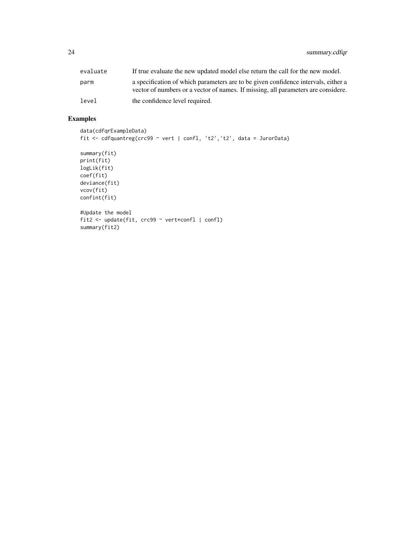24 summary.cdfqr

| evaluate | If true evaluate the new updated model else return the call for the new model.                                                                                          |
|----------|-------------------------------------------------------------------------------------------------------------------------------------------------------------------------|
| parm     | a specification of which parameters are to be given confidence intervals, either a<br>vector of numbers or a vector of names. If missing, all parameters are considere. |
| level    | the confidence level required.                                                                                                                                          |

```
data(cdfqrExampleData)
fit <- cdfquantreg(crc99 ~ vert | confl, 't2','t2', data = JurorData)
summary(fit)
print(fit)
logLik(fit)
coef(fit)
deviance(fit)
vcov(fit)
confint(fit)
#Update the model
fit2 <- update(fit, crc99 ~ vert*confl | confl)
summary(fit2)
```